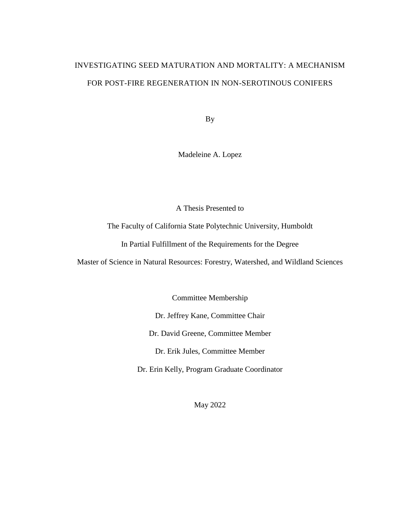# INVESTIGATING SEED MATURATION AND MORTALITY: A MECHANISM FOR POST-FIRE REGENERATION IN NON-SEROTINOUS CONIFERS

By

Madeleine A. Lopez

A Thesis Presented to

The Faculty of California State Polytechnic University, Humboldt

In Partial Fulfillment of the Requirements for the Degree

Master of Science in Natural Resources: Forestry, Watershed, and Wildland Sciences

Committee Membership

Dr. Jeffrey Kane, Committee Chair

Dr. David Greene, Committee Member

Dr. Erik Jules, Committee Member

Dr. Erin Kelly, Program Graduate Coordinator

May 2022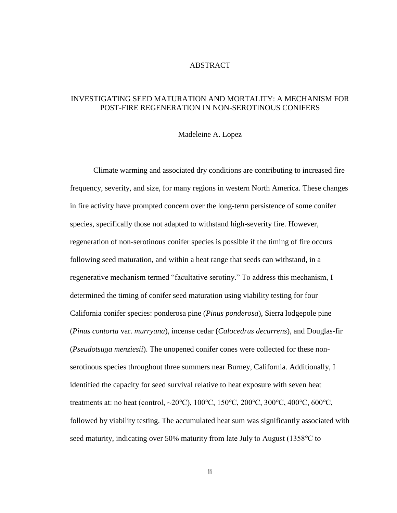## ABSTRACT

## <span id="page-1-0"></span>INVESTIGATING SEED MATURATION AND MORTALITY: A MECHANISM FOR POST-FIRE REGENERATION IN NON-SEROTINOUS CONIFERS

#### Madeleine A. Lopez

Climate warming and associated dry conditions are contributing to increased fire frequency, severity, and size, for many regions in western North America. These changes in fire activity have prompted concern over the long-term persistence of some conifer species, specifically those not adapted to withstand high-severity fire. However, regeneration of non-serotinous conifer species is possible if the timing of fire occurs following seed maturation, and within a heat range that seeds can withstand, in a regenerative mechanism termed "facultative serotiny." To address this mechanism, I determined the timing of conifer seed maturation using viability testing for four California conifer species: ponderosa pine (*Pinus ponderosa*), Sierra lodgepole pine (*Pinus contorta* var. *murryana*), incense cedar (*Calocedrus decurrens*), and Douglas-fir (*Pseudotsuga menziesii*). The unopened conifer cones were collected for these nonserotinous species throughout three summers near Burney, California. Additionally, I identified the capacity for seed survival relative to heat exposure with seven heat treatments at: no heat (control, ~20℃), 100℃, 150℃, 200℃, 300℃, 400℃, 600℃, followed by viability testing. The accumulated heat sum was significantly associated with seed maturity, indicating over 50% maturity from late July to August (1358℃ to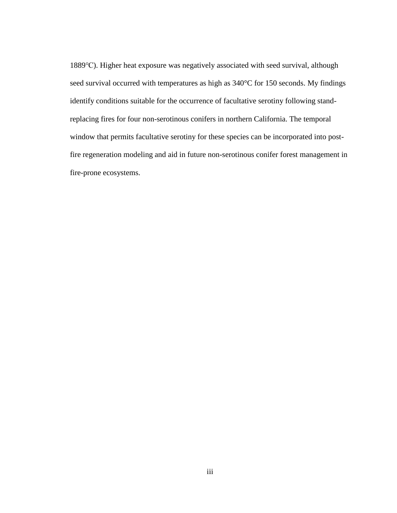1889℃). Higher heat exposure was negatively associated with seed survival, although seed survival occurred with temperatures as high as  $340^{\circ}$ C for 150 seconds. My findings identify conditions suitable for the occurrence of facultative serotiny following standreplacing fires for four non-serotinous conifers in northern California. The temporal window that permits facultative serotiny for these species can be incorporated into postfire regeneration modeling and aid in future non-serotinous conifer forest management in fire-prone ecosystems.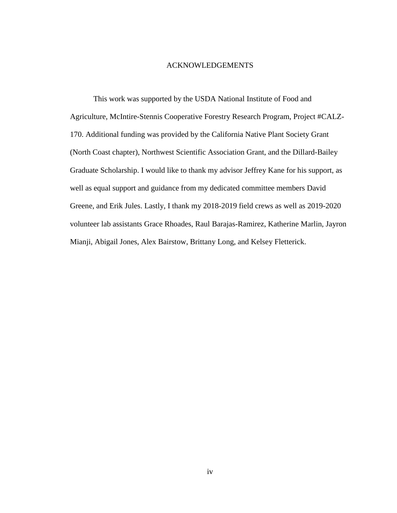## ACKNOWLEDGEMENTS

<span id="page-3-0"></span>This work was supported by the USDA National Institute of Food and Agriculture, McIntire-Stennis Cooperative Forestry Research Program, Project #CALZ-170. Additional funding was provided by the California Native Plant Society Grant (North Coast chapter), Northwest Scientific Association Grant, and the Dillard-Bailey Graduate Scholarship. I would like to thank my advisor Jeffrey Kane for his support, as well as equal support and guidance from my dedicated committee members David Greene, and Erik Jules. Lastly, I thank my 2018-2019 field crews as well as 2019-2020 volunteer lab assistants Grace Rhoades, Raul Barajas-Ramirez, Katherine Marlin, Jayron Mianji, Abigail Jones, Alex Bairstow, Brittany Long, and Kelsey Fletterick.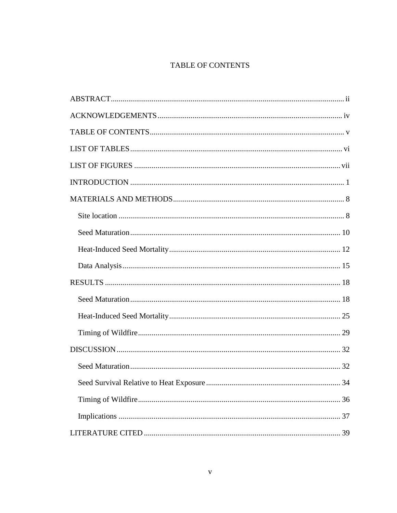## TABLE OF CONTENTS

<span id="page-4-0"></span>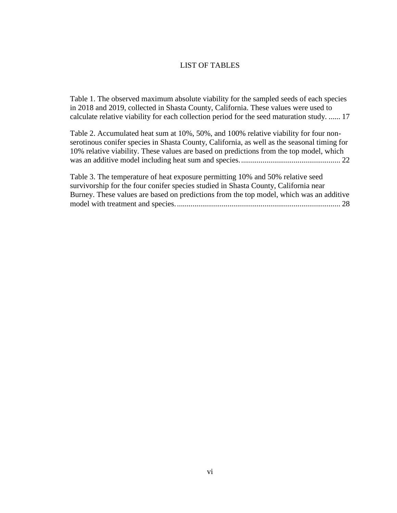## <span id="page-5-0"></span>LIST OF TABLES

[Table 1. The observed maximum absolute viability for the sampled seeds of each species](#page-24-0) [in 2018 and 2019, collected in Shasta County, California. These values were used to](#page-24-0)  [calculate relative viability for each collection period for the seed maturation study.](#page-24-0) ...... 17

[Table 2. Accumulated heat sum at 10%, 50%, and 100% relative viability for four non](#page-29-0)[serotinous conifer species in Shasta County, California, as well as the seasonal timing for](#page-29-0)  [10% relative viability. These values are based on predictions from the top model, which](#page-29-0)  [was an additive model including heat sum and species....................................................](#page-29-0) 22

[Table 3. The temperature of heat exposure permitting 10% and 50% relative seed](#page-35-0)  [survivorship for the four conifer species studied in Shasta County, California near](#page-35-0)  [Burney. These values are based on predictions from the top model, which was an additive](#page-35-0)  [model with treatment and species.....................................................................................](#page-35-0) 28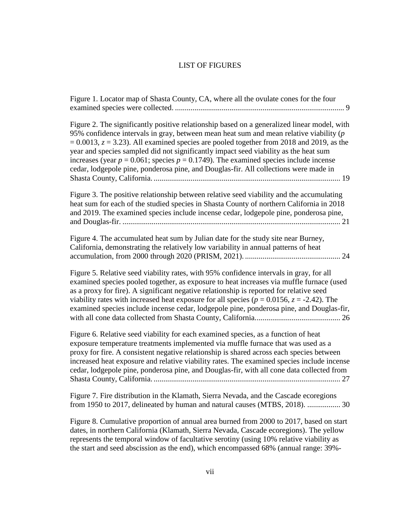## LIST OF FIGURES

<span id="page-6-0"></span>

| Figure 1. Locator map of Shasta County, CA, where all the ovulate cones for the four                                                                                                                                                                                                                                                                                                                                                                                                                                                                                     |
|--------------------------------------------------------------------------------------------------------------------------------------------------------------------------------------------------------------------------------------------------------------------------------------------------------------------------------------------------------------------------------------------------------------------------------------------------------------------------------------------------------------------------------------------------------------------------|
| Figure 2. The significantly positive relationship based on a generalized linear model, with<br>95% confidence intervals in gray, between mean heat sum and mean relative viability $(p)$<br>$= 0.0013$ , $z = 3.23$ ). All examined species are pooled together from 2018 and 2019, as the<br>year and species sampled did not significantly impact seed viability as the heat sum<br>increases (year $p = 0.061$ ; species $p = 0.1749$ ). The examined species include incense<br>cedar, lodgepole pine, ponderosa pine, and Douglas-fir. All collections were made in |
| Figure 3. The positive relationship between relative seed viability and the accumulating<br>heat sum for each of the studied species in Shasta County of northern California in 2018<br>and 2019. The examined species include incense cedar, lodgepole pine, ponderosa pine,                                                                                                                                                                                                                                                                                            |
| Figure 4. The accumulated heat sum by Julian date for the study site near Burney,<br>California, demonstrating the relatively low variability in annual patterns of heat                                                                                                                                                                                                                                                                                                                                                                                                 |
| Figure 5. Relative seed viability rates, with 95% confidence intervals in gray, for all<br>examined species pooled together, as exposure to heat increases via muffle furnace (used<br>as a proxy for fire). A significant negative relationship is reported for relative seed<br>viability rates with increased heat exposure for all species ( $p = 0.0156$ , $z = -2.42$ ). The<br>examined species include incense cedar, lodgepole pine, ponderosa pine, and Douglas-fir,                                                                                           |
| Figure 6. Relative seed viability for each examined species, as a function of heat<br>exposure temperature treatments implemented via muffle furnace that was used as a<br>proxy for fire. A consistent negative relationship is shared across each species between<br>increased heat exposure and relative viability rates. The examined species include incense<br>cedar, lodgepole pine, ponderosa pine, and Douglas-fir, with all cone data collected from                                                                                                           |
| Figure 7. Fire distribution in the Klamath, Sierra Nevada, and the Cascade ecoregions<br>from 1950 to 2017, delineated by human and natural causes (MTBS, 2018).  30                                                                                                                                                                                                                                                                                                                                                                                                     |
| Figure 8. Cumulative proportion of annual area burned from 2000 to 2017, based on start                                                                                                                                                                                                                                                                                                                                                                                                                                                                                  |

[dates, in northern California \(Klamath, Sierra Nevada, Cascade ecoregions\). The yellow](#page-38-0)  [represents the temporal window of facultative serotiny \(using 10% relative viability as](#page-38-0)  the start and [seed abscission as the end\), which encompassed 68% \(annual range: 39%-](#page-38-0)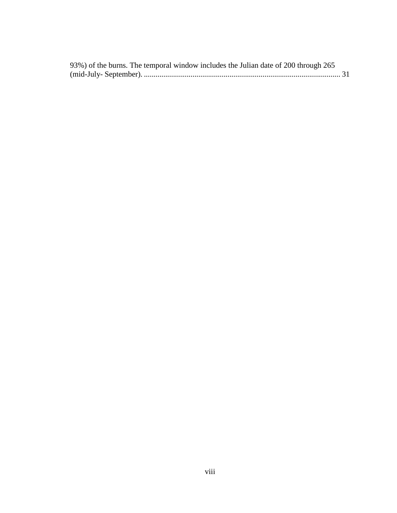| 93%) of the burns. The temporal window includes the Julian date of 200 through 265 |  |
|------------------------------------------------------------------------------------|--|
|                                                                                    |  |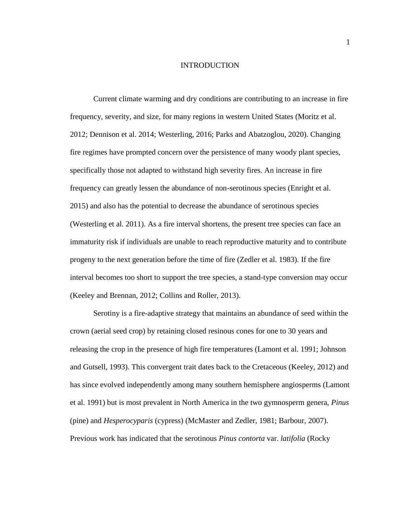## INTRODUCTION

<span id="page-8-0"></span>Current climate warming and dry conditions are contributing to an increase in fire frequency, severity, and size, for many regions in western United States (Moritz et al. 2012; Dennison et al. 2014; Westerling, 2016; Parks and Abatzoglou, 2020). Changing fire regimes have prompted concern over the persistence of many woody plant species, specifically those not adapted to withstand high severity fires. An increase in fire frequency can greatly lessen the abundance of non-serotinous species (Enright et al. 2015) and also has the potential to decrease the abundance of serotinous species (Westerling et al. 2011). As a fire interval shortens, the present tree species can face an immaturity risk if individuals are unable to reach reproductive maturity and to contribute progeny to the next generation before the time of fire (Zedler et al. 1983). If the fire interval becomes too short to support the tree species, a stand-type conversion may occur (Keeley and Brennan, 2012; Collins and Roller, 2013).

Serotiny is a fire-adaptive strategy that maintains an abundance of seed within the crown (aerial seed crop) by retaining closed resinous cones for one to 30 years and releasing the crop in the presence of high fire temperatures (Lamont et al. 1991; Johnson and Gutsell, 1993). This convergent trait dates back to the Cretaceous (Keeley, 2012) and has since evolved independently among many southern hemisphere angiosperms (Lamont et al. 1991) but is most prevalent in North America in the two gymnosperm genera, *Pinus* (pine) and *Hesperocyparis* (cypress) (McMaster and Zedler, 1981; Barbour, 2007). Previous work has indicated that the serotinous *Pinus contorta* var. *latifolia* (Rocky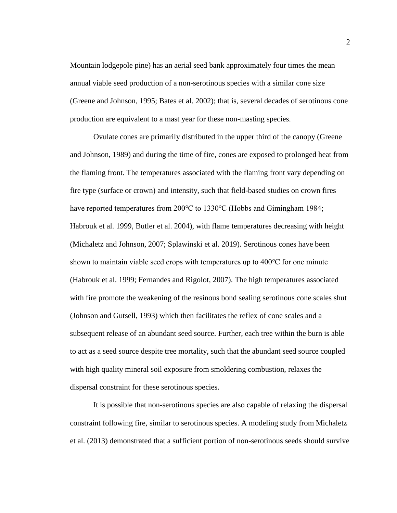Mountain lodgepole pine) has an aerial seed bank approximately four times the mean annual viable seed production of a non-serotinous species with a similar cone size (Greene and Johnson, 1995; Bates et al. 2002); that is, several decades of serotinous cone production are equivalent to a mast year for these non-masting species.

Ovulate cones are primarily distributed in the upper third of the canopy (Greene and Johnson, 1989) and during the time of fire, cones are exposed to prolonged heat from the flaming front. The temperatures associated with the flaming front vary depending on fire type (surface or crown) and intensity, such that field-based studies on crown fires have reported temperatures from 200℃ to 1330℃ (Hobbs and Gimingham 1984; Habrouk et al. 1999, Butler et al. 2004), with flame temperatures decreasing with height (Michaletz and Johnson, 2007; Splawinski et al. 2019). Serotinous cones have been shown to maintain viable seed crops with temperatures up to 400℃ for one minute (Habrouk et al. 1999; Fernandes and Rigolot, 2007). The high temperatures associated with fire promote the weakening of the resinous bond sealing serotinous cone scales shut (Johnson and Gutsell, 1993) which then facilitates the reflex of cone scales and a subsequent release of an abundant seed source. Further, each tree within the burn is able to act as a seed source despite tree mortality, such that the abundant seed source coupled with high quality mineral soil exposure from smoldering combustion, relaxes the dispersal constraint for these serotinous species.

It is possible that non-serotinous species are also capable of relaxing the dispersal constraint following fire, similar to serotinous species. A modeling study from Michaletz et al. (2013) demonstrated that a sufficient portion of non-serotinous seeds should survive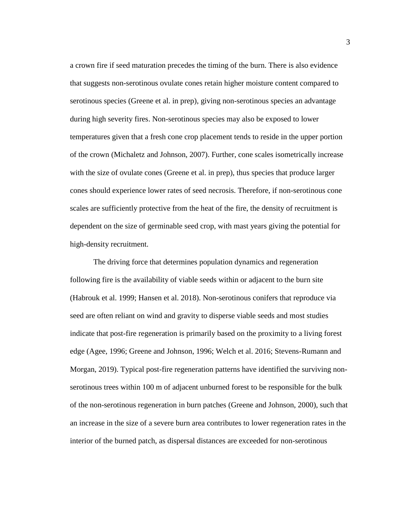a crown fire if seed maturation precedes the timing of the burn. There is also evidence that suggests non-serotinous ovulate cones retain higher moisture content compared to serotinous species (Greene et al. in prep), giving non-serotinous species an advantage during high severity fires. Non-serotinous species may also be exposed to lower temperatures given that a fresh cone crop placement tends to reside in the upper portion of the crown (Michaletz and Johnson, 2007). Further, cone scales isometrically increase with the size of ovulate cones (Greene et al. in prep), thus species that produce larger cones should experience lower rates of seed necrosis. Therefore, if non-serotinous cone scales are sufficiently protective from the heat of the fire, the density of recruitment is dependent on the size of germinable seed crop, with mast years giving the potential for high-density recruitment.

The driving force that determines population dynamics and regeneration following fire is the availability of viable seeds within or adjacent to the burn site (Habrouk et al. 1999; Hansen et al. 2018). Non-serotinous conifers that reproduce via seed are often reliant on wind and gravity to disperse viable seeds and most studies indicate that post-fire regeneration is primarily based on the proximity to a living forest edge (Agee, 1996; Greene and Johnson, 1996; Welch et al. 2016; Stevens-Rumann and Morgan, 2019). Typical post-fire regeneration patterns have identified the surviving nonserotinous trees within 100 m of adjacent unburned forest to be responsible for the bulk of the non-serotinous regeneration in burn patches (Greene and Johnson, 2000), such that an increase in the size of a severe burn area contributes to lower regeneration rates in the interior of the burned patch, as dispersal distances are exceeded for non-serotinous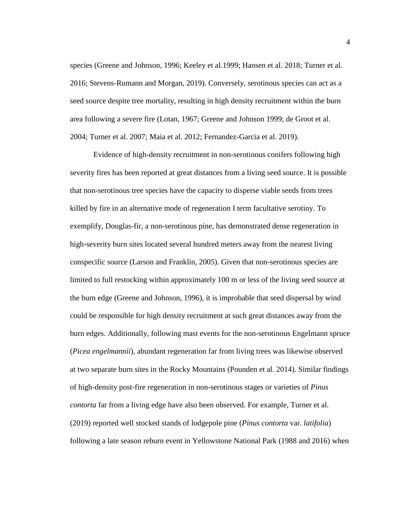species (Greene and Johnson, 1996; Keeley et al.1999; Hansen et al. 2018; Turner et al. 2016; Stevens-Rumann and Morgan, 2019). Conversely, serotinous species can act as a seed source despite tree mortality, resulting in high density recruitment within the burn area following a severe fire (Lotan, 1967; Greene and Johnson 1999; de Groot et al. 2004; Turner et al. 2007; Maia et al. 2012; Fernandez-Garcia et al. 2019).

Evidence of high-density recruitment in non-serotinous conifers following high severity fires has been reported at great distances from a living seed source. It is possible that non-serotinous tree species have the capacity to disperse viable seeds from trees killed by fire in an alternative mode of regeneration I term facultative serotiny. To exemplify, Douglas-fir, a non-serotinous pine, has demonstrated dense regeneration in high-severity burn sites located several hundred meters away from the nearest living conspecific source (Larson and Franklin, 2005). Given that non-serotinous species are limited to full restocking within approximately 100 m or less of the living seed source at the burn edge (Greene and Johnson, 1996), it is improbable that seed dispersal by wind could be responsible for high density recruitment at such great distances away from the burn edges. Additionally, following mast events for the non-serotinous Engelmann spruce (*Picea engelmannii*), abundant regeneration far from living trees was likewise observed at two separate burn sites in the Rocky Mountains (Pounden et al. 2014). Similar findings of high-density post-fire regeneration in non-serotinous stages or varieties of *Pinus contorta* far from a living edge have also been observed. For example, Turner et al. (2019) reported well stocked stands of lodgepole pine (*Pinus contorta* var. *latifolia*) following a late season reburn event in Yellowstone National Park (1988 and 2016) when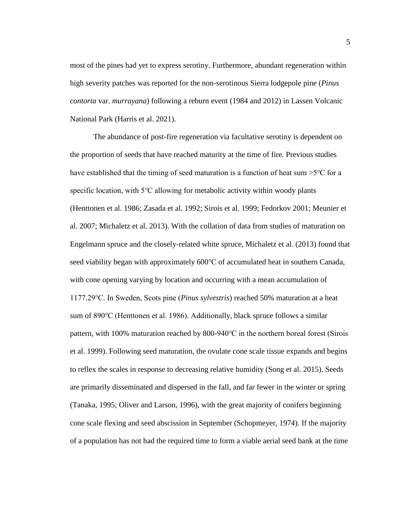most of the pines had yet to express serotiny. Furthermore, abundant regeneration within high severity patches was reported for the non-serotinous Sierra lodgepole pine (*Pinus contorta* var. *murrayana*) following a reburn event (1984 and 2012) in Lassen Volcanic National Park (Harris et al. 2021).

The abundance of post-fire regeneration via facultative serotiny is dependent on the proportion of seeds that have reached maturity at the time of fire. Previous studies have established that the timing of seed maturation is a function of heat sum >5℃ for a specific location, with 5<sup>o</sup>C allowing for metabolic activity within woody plants (Henttonen et al. 1986; Zasada et al. 1992; Sirois et al. 1999; Fedorkov 2001; Meunier et al. 2007; Michaletz et al. 2013). With the collation of data from studies of maturation on Engelmann spruce and the closely-related white spruce, Michaletz et al. (2013) found that seed viability began with approximately 600℃ of accumulated heat in southern Canada, with cone opening varying by location and occurring with a mean accumulation of 1177.29℃. In Sweden, Scots pine (*Pinus sylvestris*) reached 50% maturation at a heat sum of 890℃ (Henttonen et al. 1986). Additionally, black spruce follows a similar pattern, with 100% maturation reached by 800-940℃ in the northern boreal forest (Sirois et al. 1999). Following seed maturation, the ovulate cone scale tissue expands and begins to reflex the scales in response to decreasing relative humidity (Song et al. 2015). Seeds are primarily disseminated and dispersed in the fall, and far fewer in the winter or spring (Tanaka, 1995; Oliver and Larson, 1996), with the great majority of conifers beginning cone scale flexing and seed abscission in September (Schopmeyer, 1974). If the majority of a population has not had the required time to form a viable aerial seed bank at the time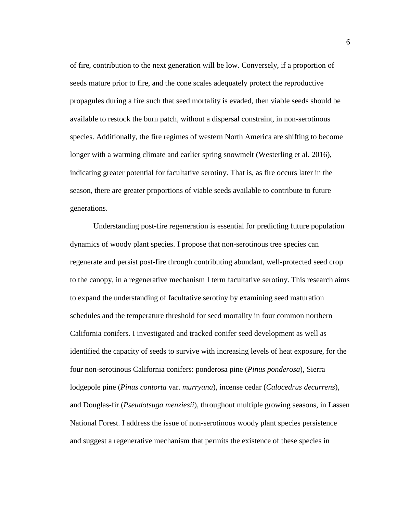of fire, contribution to the next generation will be low. Conversely, if a proportion of seeds mature prior to fire, and the cone scales adequately protect the reproductive propagules during a fire such that seed mortality is evaded, then viable seeds should be available to restock the burn patch, without a dispersal constraint, in non-serotinous species. Additionally, the fire regimes of western North America are shifting to become longer with a warming climate and earlier spring snowmelt (Westerling et al. 2016), indicating greater potential for facultative serotiny. That is, as fire occurs later in the season, there are greater proportions of viable seeds available to contribute to future generations.

Understanding post-fire regeneration is essential for predicting future population dynamics of woody plant species. I propose that non-serotinous tree species can regenerate and persist post-fire through contributing abundant, well-protected seed crop to the canopy, in a regenerative mechanism I term facultative serotiny. This research aims to expand the understanding of facultative serotiny by examining seed maturation schedules and the temperature threshold for seed mortality in four common northern California conifers. I investigated and tracked conifer seed development as well as identified the capacity of seeds to survive with increasing levels of heat exposure, for the four non-serotinous California conifers: ponderosa pine (*Pinus ponderosa*), Sierra lodgepole pine (*Pinus contorta* var. *murryana*), incense cedar (*Calocedrus decurrens*), and Douglas-fir (*Pseudotsuga menziesii*), throughout multiple growing seasons, in Lassen National Forest. I address the issue of non-serotinous woody plant species persistence and suggest a regenerative mechanism that permits the existence of these species in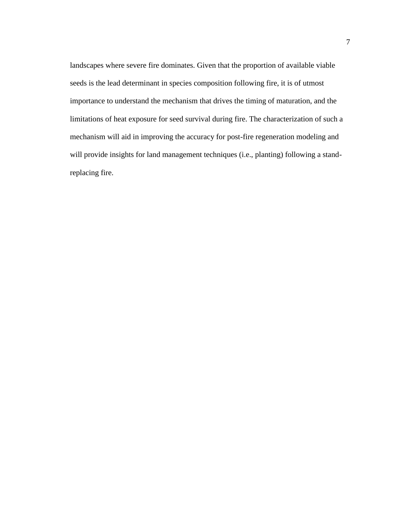landscapes where severe fire dominates. Given that the proportion of available viable seeds is the lead determinant in species composition following fire, it is of utmost importance to understand the mechanism that drives the timing of maturation, and the limitations of heat exposure for seed survival during fire. The characterization of such a mechanism will aid in improving the accuracy for post-fire regeneration modeling and will provide insights for land management techniques (i.e., planting) following a standreplacing fire.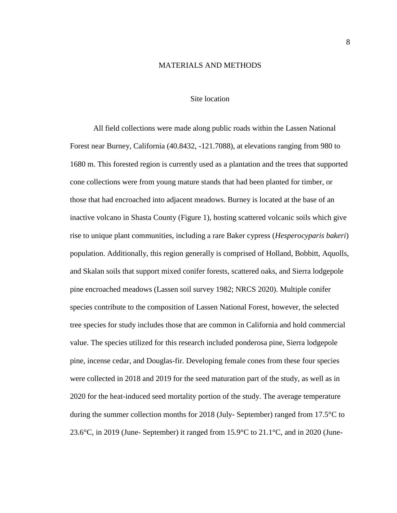## MATERIALS AND METHODS

## Site location

<span id="page-15-1"></span><span id="page-15-0"></span>All field collections were made along public roads within the Lassen National Forest near Burney, California (40.8432, -121.7088), at elevations ranging from 980 to 1680 m. This forested region is currently used as a plantation and the trees that supported cone collections were from young mature stands that had been planted for timber, or those that had encroached into adjacent meadows. Burney is located at the base of an inactive volcano in Shasta County (Figure 1), hosting scattered volcanic soils which give rise to unique plant communities, including a rare Baker cypress (*Hesperocyparis bakeri*) population. Additionally, this region generally is comprised of Holland, Bobbitt, Aquolls, and Skalan soils that support mixed conifer forests, scattered oaks, and Sierra lodgepole pine encroached meadows (Lassen soil survey 1982; NRCS 2020). Multiple conifer species contribute to the composition of Lassen National Forest, however, the selected tree species for study includes those that are common in California and hold commercial value. The species utilized for this research included ponderosa pine, Sierra lodgepole pine, incense cedar, and Douglas-fir. Developing female cones from these four species were collected in 2018 and 2019 for the seed maturation part of the study, as well as in 2020 for the heat-induced seed mortality portion of the study. The average temperature during the summer collection months for 2018 (July- September) ranged from 17.5°C to 23.6°C, in 2019 (June- September) it ranged from 15.9°C to 21.1°C, and in 2020 (June-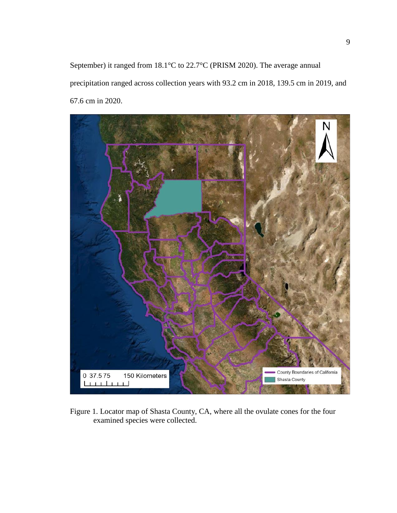September) it ranged from 18.1°C to 22.7°C (PRISM 2020). The average annual precipitation ranged across collection years with 93.2 cm in 2018, 139.5 cm in 2019, and 67.6 cm in 2020.

<span id="page-16-0"></span>

Figure 1. Locator map of Shasta County, CA, where all the ovulate cones for the four examined species were collected.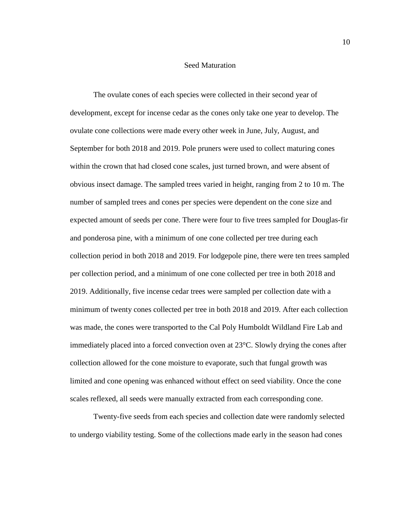## Seed Maturation

<span id="page-17-0"></span>The ovulate cones of each species were collected in their second year of development, except for incense cedar as the cones only take one year to develop. The ovulate cone collections were made every other week in June, July, August, and September for both 2018 and 2019. Pole pruners were used to collect maturing cones within the crown that had closed cone scales, just turned brown, and were absent of obvious insect damage. The sampled trees varied in height, ranging from 2 to 10 m. The number of sampled trees and cones per species were dependent on the cone size and expected amount of seeds per cone. There were four to five trees sampled for Douglas-fir and ponderosa pine, with a minimum of one cone collected per tree during each collection period in both 2018 and 2019. For lodgepole pine, there were ten trees sampled per collection period, and a minimum of one cone collected per tree in both 2018 and 2019. Additionally, five incense cedar trees were sampled per collection date with a minimum of twenty cones collected per tree in both 2018 and 2019. After each collection was made, the cones were transported to the Cal Poly Humboldt Wildland Fire Lab and immediately placed into a forced convection oven at 23°C. Slowly drying the cones after collection allowed for the cone moisture to evaporate, such that fungal growth was limited and cone opening was enhanced without effect on seed viability. Once the cone scales reflexed, all seeds were manually extracted from each corresponding cone.

Twenty-five seeds from each species and collection date were randomly selected to undergo viability testing. Some of the collections made early in the season had cones

10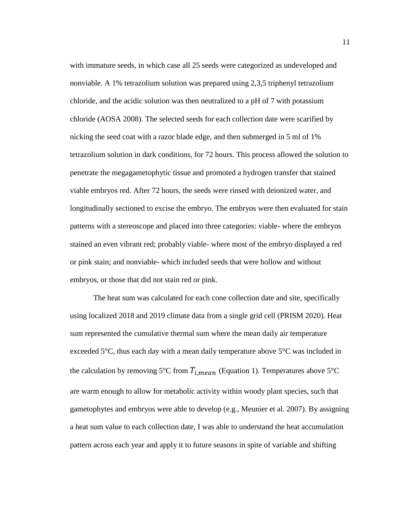with immature seeds, in which case all 25 seeds were categorized as undeveloped and nonviable. A 1% tetrazolium solution was prepared using 2,3,5 triphenyl tetrazolium chloride, and the acidic solution was then neutralized to a pH of 7 with potassium chloride (AOSA 2008). The selected seeds for each collection date were scarified by nicking the seed coat with a razor blade edge, and then submerged in 5 ml of 1% tetrazolium solution in dark conditions, for 72 hours. This process allowed the solution to penetrate the megagametophytic tissue and promoted a hydrogen transfer that stained viable embryos red. After 72 hours, the seeds were rinsed with deionized water, and longitudinally sectioned to excise the embryo. The embryos were then evaluated for stain patterns with a stereoscope and placed into three categories: viable- where the embryos stained an even vibrant red; probably viable- where most of the embryo displayed a red or pink stain; and nonviable- which included seeds that were hollow and without embryos, or those that did not stain red or pink.

The heat sum was calculated for each cone collection date and site, specifically using localized 2018 and 2019 climate data from a single grid cell (PRISM 2020). Heat sum represented the cumulative thermal sum where the mean daily air temperature exceeded 5°C, thus each day with a mean daily temperature above 5°C was included in the calculation by removing 5°C from  $T_{i,mean}$  (Equation 1). Temperatures above 5°C are warm enough to allow for metabolic activity within woody plant species, such that gametophytes and embryos were able to develop (e.g., Meunier et al. 2007). By assigning a heat sum value to each collection date, I was able to understand the heat accumulation pattern across each year and apply it to future seasons in spite of variable and shifting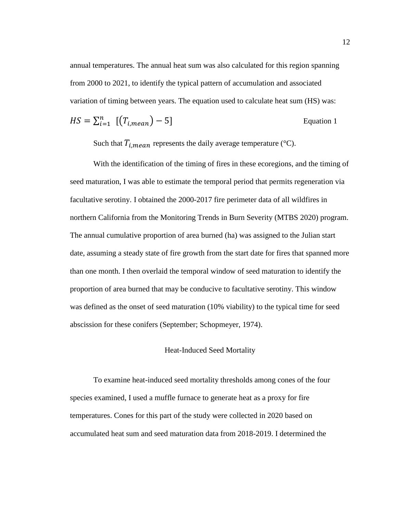annual temperatures. The annual heat sum was also calculated for this region spanning from 2000 to 2021, to identify the typical pattern of accumulation and associated variation of timing between years. The equation used to calculate heat sum (HS) was:

$$
HS = \sum_{i=1}^{n} \left[ \left( T_{i,mean} \right) - 5 \right]
$$
 Equation 1

Such that  $T_{i,mean}$  represents the daily average temperature (°C).

With the identification of the timing of fires in these ecoregions, and the timing of seed maturation, I was able to estimate the temporal period that permits regeneration via facultative serotiny. I obtained the 2000-2017 fire perimeter data of all wildfires in northern California from the Monitoring Trends in Burn Severity (MTBS 2020) program. The annual cumulative proportion of area burned (ha) was assigned to the Julian start date, assuming a steady state of fire growth from the start date for fires that spanned more than one month. I then overlaid the temporal window of seed maturation to identify the proportion of area burned that may be conducive to facultative serotiny. This window was defined as the onset of seed maturation (10% viability) to the typical time for seed abscission for these conifers (September; Schopmeyer, 1974).

## Heat-Induced Seed Mortality

<span id="page-19-0"></span>To examine heat-induced seed mortality thresholds among cones of the four species examined, I used a muffle furnace to generate heat as a proxy for fire temperatures. Cones for this part of the study were collected in 2020 based on accumulated heat sum and seed maturation data from 2018-2019. I determined the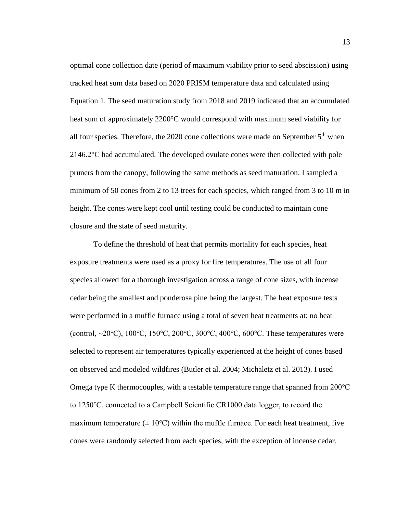optimal cone collection date (period of maximum viability prior to seed abscission) using tracked heat sum data based on 2020 PRISM temperature data and calculated using Equation 1. The seed maturation study from 2018 and 2019 indicated that an accumulated heat sum of approximately 2200°C would correspond with maximum seed viability for all four species. Therefore, the 2020 cone collections were made on September  $5<sup>th</sup>$  when 2146.2°C had accumulated. The developed ovulate cones were then collected with pole pruners from the canopy, following the same methods as seed maturation. I sampled a minimum of 50 cones from 2 to 13 trees for each species, which ranged from 3 to 10 m in height. The cones were kept cool until testing could be conducted to maintain cone closure and the state of seed maturity.

To define the threshold of heat that permits mortality for each species, heat exposure treatments were used as a proxy for fire temperatures. The use of all four species allowed for a thorough investigation across a range of cone sizes, with incense cedar being the smallest and ponderosa pine being the largest. The heat exposure tests were performed in a muffle furnace using a total of seven heat treatments at: no heat (control, ~20°C), 100°C, 150°C, 200°C, 300°C, 400°C, 600°C. These temperatures were selected to represent air temperatures typically experienced at the height of cones based on observed and modeled wildfires (Butler et al. 2004; Michaletz et al. 2013). I used Omega type K thermocouples, with a testable temperature range that spanned from 200℃ to 1250℃, connected to a Campbell Scientific CR1000 data logger, to record the maximum temperature ( $\pm 10^{\circ}$ C) within the muffle furnace. For each heat treatment, five cones were randomly selected from each species, with the exception of incense cedar,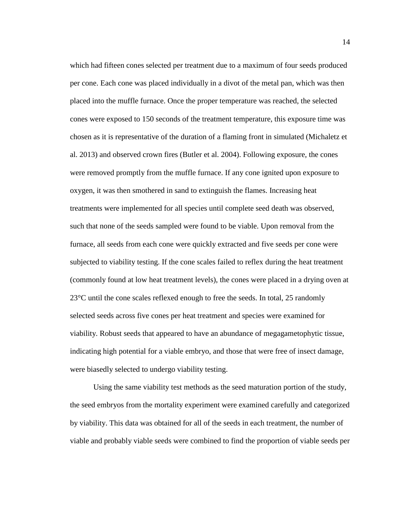which had fifteen cones selected per treatment due to a maximum of four seeds produced per cone. Each cone was placed individually in a divot of the metal pan, which was then placed into the muffle furnace. Once the proper temperature was reached, the selected cones were exposed to 150 seconds of the treatment temperature, this exposure time was chosen as it is representative of the duration of a flaming front in simulated (Michaletz et al. 2013) and observed crown fires (Butler et al. 2004). Following exposure, the cones were removed promptly from the muffle furnace. If any cone ignited upon exposure to oxygen, it was then smothered in sand to extinguish the flames. Increasing heat treatments were implemented for all species until complete seed death was observed, such that none of the seeds sampled were found to be viable. Upon removal from the furnace, all seeds from each cone were quickly extracted and five seeds per cone were subjected to viability testing. If the cone scales failed to reflex during the heat treatment (commonly found at low heat treatment levels), the cones were placed in a drying oven at 23°C until the cone scales reflexed enough to free the seeds. In total, 25 randomly selected seeds across five cones per heat treatment and species were examined for viability. Robust seeds that appeared to have an abundance of megagametophytic tissue, indicating high potential for a viable embryo, and those that were free of insect damage, were biasedly selected to undergo viability testing.

Using the same viability test methods as the seed maturation portion of the study, the seed embryos from the mortality experiment were examined carefully and categorized by viability. This data was obtained for all of the seeds in each treatment, the number of viable and probably viable seeds were combined to find the proportion of viable seeds per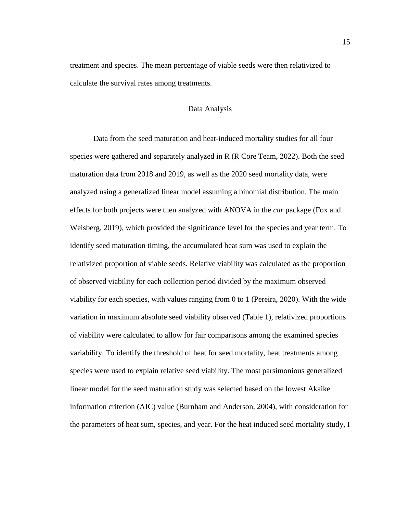<span id="page-22-0"></span>treatment and species. The mean percentage of viable seeds were then relativized to calculate the survival rates among treatments.

## Data Analysis

Data from the seed maturation and heat-induced mortality studies for all four species were gathered and separately analyzed in R (R Core Team, 2022). Both the seed maturation data from 2018 and 2019, as well as the 2020 seed mortality data, were analyzed using a generalized linear model assuming a binomial distribution. The main effects for both projects were then analyzed with ANOVA in the *car* package (Fox and Weisberg, 2019), which provided the significance level for the species and year term. To identify seed maturation timing, the accumulated heat sum was used to explain the relativized proportion of viable seeds. Relative viability was calculated as the proportion of observed viability for each collection period divided by the maximum observed viability for each species, with values ranging from 0 to 1 (Pereira, 2020). With the wide variation in maximum absolute seed viability observed (Table 1), relativized proportions of viability were calculated to allow for fair comparisons among the examined species variability. To identify the threshold of heat for seed mortality, heat treatments among species were used to explain relative seed viability. The most parsimonious generalized linear model for the seed maturation study was selected based on the lowest Akaike information criterion (AIC) value (Burnham and Anderson, 2004), with consideration for the parameters of heat sum, species, and year. For the heat induced seed mortality study, I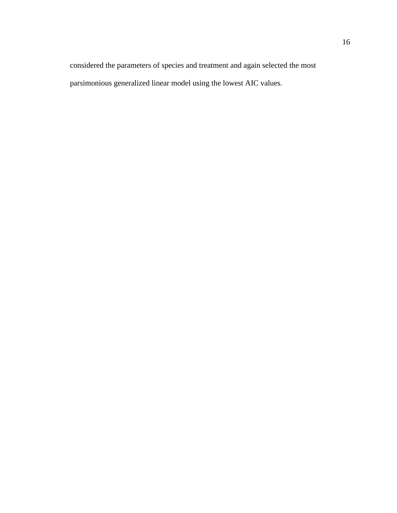considered the parameters of species and treatment and again selected the most parsimonious generalized linear model using the lowest AIC values.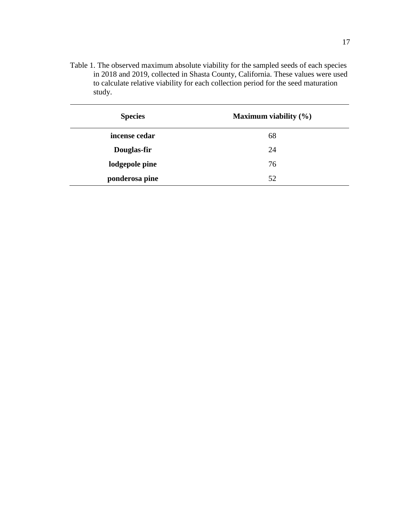<span id="page-24-0"></span>Table 1. The observed maximum absolute viability for the sampled seeds of each species in 2018 and 2019, collected in Shasta County, California. These values were used to calculate relative viability for each collection period for the seed maturation study.

| <b>Species</b> | Maximum viability $(\% )$ |
|----------------|---------------------------|
| incense cedar  | 68                        |
| Douglas-fir    | 24                        |
| lodgepole pine | 76                        |
| ponderosa pine | 52                        |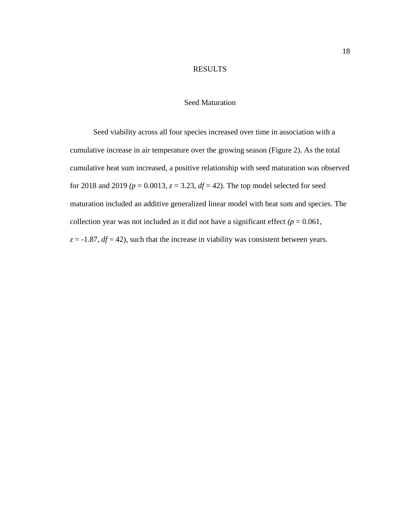## RESULTS

## Seed Maturation

<span id="page-25-1"></span><span id="page-25-0"></span>Seed viability across all four species increased over time in association with a cumulative increase in air temperature over the growing season (Figure 2). As the total cumulative heat sum increased, a positive relationship with seed maturation was observed for 2018 and 2019  $(p = 0.0013, z = 3.23, df = 42)$ . The top model selected for seed maturation included an additive generalized linear model with heat sum and species. The collection year was not included as it did not have a significant effect  $(p = 0.061,$  $z = -1.87$ ,  $df = 42$ ), such that the increase in viability was consistent between years.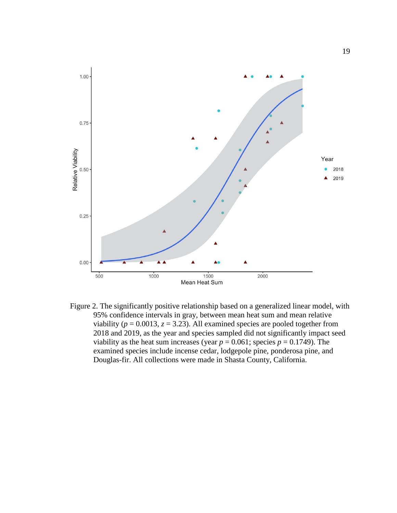

<span id="page-26-0"></span>Figure 2. The significantly positive relationship based on a generalized linear model, with 95% confidence intervals in gray, between mean heat sum and mean relative viability ( $p = 0.0013$ ,  $z = 3.23$ ). All examined species are pooled together from 2018 and 2019, as the year and species sampled did not significantly impact seed viability as the heat sum increases (year  $p = 0.061$ ; species  $p = 0.1749$ ). The examined species include incense cedar, lodgepole pine, ponderosa pine, and Douglas-fir. All collections were made in Shasta County, California.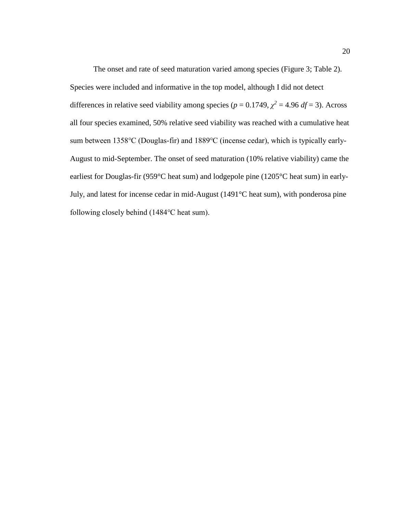The onset and rate of seed maturation varied among species (Figure 3; Table 2). Species were included and informative in the top model, although I did not detect differences in relative seed viability among species ( $p = 0.1749$ ,  $\chi^2 = 4.96$  *df* = 3). Across all four species examined, 50% relative seed viability was reached with a cumulative heat sum between 1358℃ (Douglas-fir) and 1889℃ (incense cedar), which is typically early-August to mid-September. The onset of seed maturation (10% relative viability) came the earliest for Douglas-fir (959°C heat sum) and lodgepole pine (1205°C heat sum) in early-July, and latest for incense cedar in mid-August (1491°C heat sum), with ponderosa pine following closely behind (1484℃ heat sum).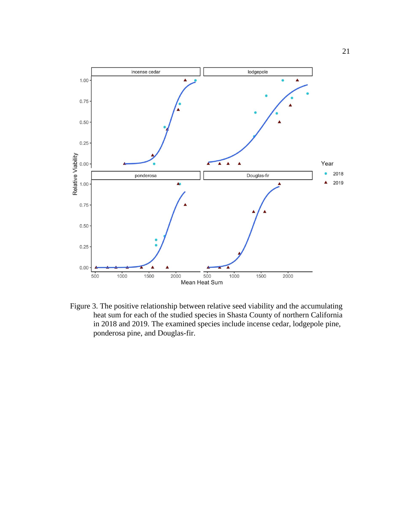

<span id="page-28-0"></span>Figure 3. The positive relationship between relative seed viability and the accumulating heat sum for each of the studied species in Shasta County of northern California in 2018 and 2019. The examined species include incense cedar, lodgepole pine, ponderosa pine, and Douglas-fir.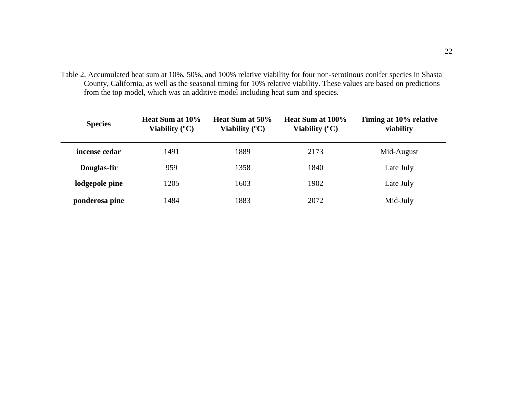Table 2. Accumulated heat sum at 10%, 50%, and 100% relative viability for four non-serotinous conifer species in Shasta County, California, as well as the seasonal timing for 10% relative viability. These values are based on predictions from the top model, which was an additive model including heat sum and species.

<span id="page-29-0"></span>

| <b>Species</b> | <b>Heat Sum at 10%</b><br>Viability $(C)$ | Heat Sum at 50%<br>Viability $(^{\circ}C)$ | Heat Sum at 100%<br>Viability $({}^{\circ}C)$ | Timing at 10% relative<br>viability |
|----------------|-------------------------------------------|--------------------------------------------|-----------------------------------------------|-------------------------------------|
| incense cedar  | 1491                                      | 1889                                       | 2173                                          | Mid-August                          |
| Douglas-fir    | 959                                       | 1358                                       | 1840                                          | Late July                           |
| lodgepole pine | 1205                                      | 1603                                       | 1902                                          | Late July                           |
| ponderosa pine | 1484                                      | 1883                                       | 2072                                          | Mid-July                            |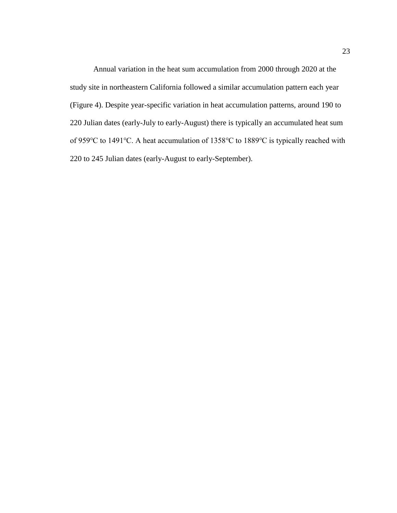Annual variation in the heat sum accumulation from 2000 through 2020 at the study site in northeastern California followed a similar accumulation pattern each year (Figure 4). Despite year-specific variation in heat accumulation patterns, around 190 to 220 Julian dates (early-July to early-August) there is typically an accumulated heat sum of 959℃ to 1491℃. A heat accumulation of 1358℃ to 1889℃ is typically reached with 220 to 245 Julian dates (early-August to early-September).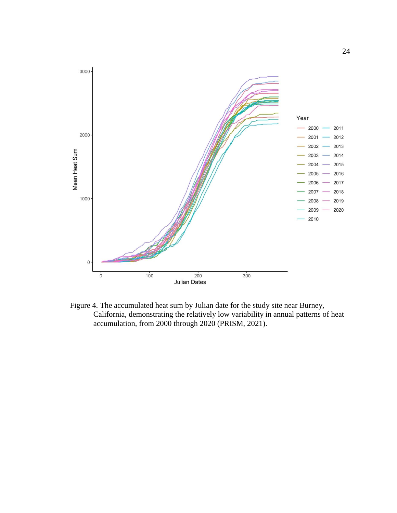

<span id="page-31-0"></span>Figure 4. The accumulated heat sum by Julian date for the study site near Burney, California, demonstrating the relatively low variability in annual patterns of heat accumulation, from 2000 through 2020 (PRISM, 2021).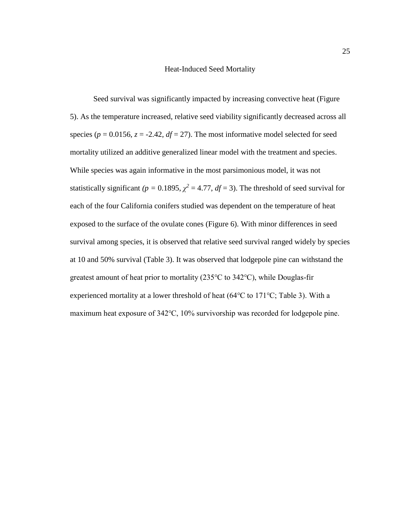## Heat-Induced Seed Mortality

<span id="page-32-0"></span>Seed survival was significantly impacted by increasing convective heat (Figure 5). As the temperature increased, relative seed viability significantly decreased across all species ( $p = 0.0156$ ,  $z = -2.42$ ,  $df = 27$ ). The most informative model selected for seed mortality utilized an additive generalized linear model with the treatment and species. While species was again informative in the most parsimonious model, it was not statistically significant  $(p = 0.1895, \chi^2 = 4.77, df = 3)$ . The threshold of seed survival for each of the four California conifers studied was dependent on the temperature of heat exposed to the surface of the ovulate cones (Figure 6). With minor differences in seed survival among species, it is observed that relative seed survival ranged widely by species at 10 and 50% survival (Table 3). It was observed that lodgepole pine can withstand the greatest amount of heat prior to mortality (235℃ to 342℃), while Douglas-fir experienced mortality at a lower threshold of heat (64℃ to 171℃; Table 3). With a maximum heat exposure of 342℃, 10% survivorship was recorded for lodgepole pine.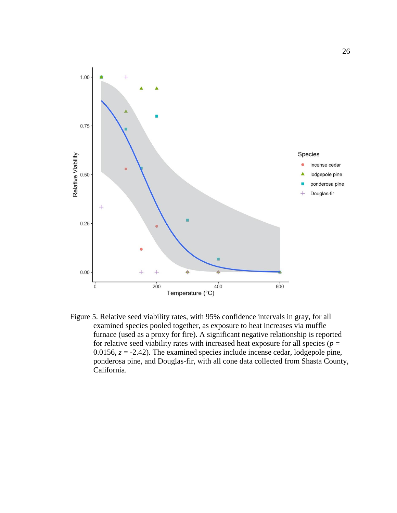

<span id="page-33-0"></span>Figure 5. Relative seed viability rates, with 95% confidence intervals in gray, for all examined species pooled together, as exposure to heat increases via muffle furnace (used as a proxy for fire). A significant negative relationship is reported for relative seed viability rates with increased heat exposure for all species ( $p =$ 0.0156,  $z = -2.42$ ). The examined species include incense cedar, lodgepole pine, ponderosa pine, and Douglas-fir, with all cone data collected from Shasta County, California.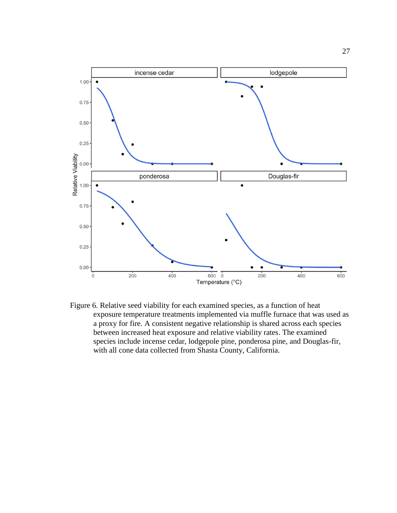

<span id="page-34-0"></span>Figure 6. Relative seed viability for each examined species, as a function of heat exposure temperature treatments implemented via muffle furnace that was used as a proxy for fire. A consistent negative relationship is shared across each species between increased heat exposure and relative viability rates. The examined species include incense cedar, lodgepole pine, ponderosa pine, and Douglas-fir, with all cone data collected from Shasta County, California.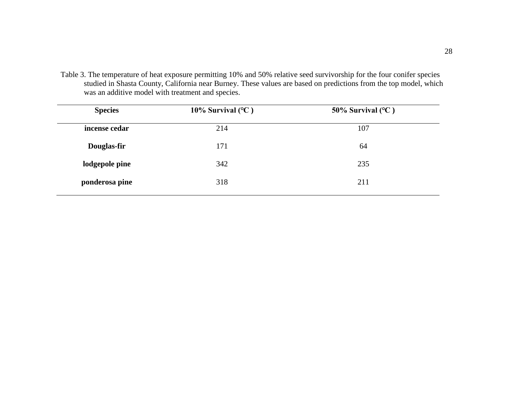Table 3. The temperature of heat exposure permitting 10% and 50% relative seed survivorship for the four conifer species studied in Shasta County, California near Burney. These values are based on predictions from the top model, which was an additive model with treatment and species.

<span id="page-35-0"></span>

| <b>Species</b> | 10% Survival $(^{\circ}C)$ | 50% Survival $(^{\circ}C)$ |
|----------------|----------------------------|----------------------------|
| incense cedar  | 214                        | 107                        |
| Douglas-fir    | 171                        | 64                         |
| lodgepole pine | 342                        | 235                        |
| ponderosa pine | 318                        | 211                        |
|                |                            |                            |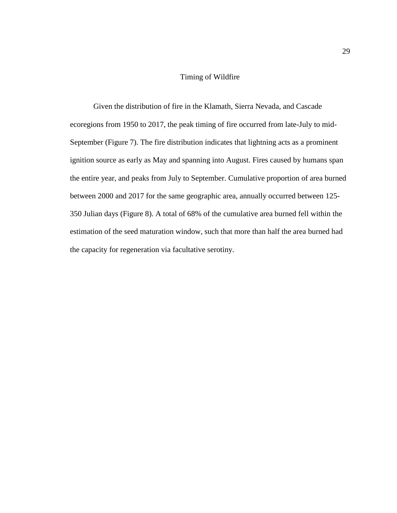## Timing of Wildfire

<span id="page-36-0"></span>Given the distribution of fire in the Klamath, Sierra Nevada, and Cascade ecoregions from 1950 to 2017, the peak timing of fire occurred from late-July to mid-September (Figure 7). The fire distribution indicates that lightning acts as a prominent ignition source as early as May and spanning into August. Fires caused by humans span the entire year, and peaks from July to September. Cumulative proportion of area burned between 2000 and 2017 for the same geographic area, annually occurred between 125- 350 Julian days (Figure 8). A total of 68% of the cumulative area burned fell within the estimation of the seed maturation window, such that more than half the area burned had the capacity for regeneration via facultative serotiny.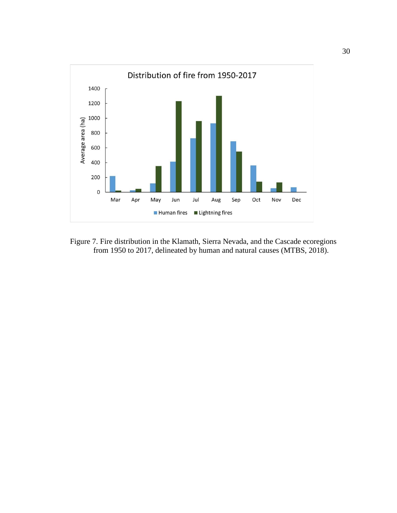

<span id="page-37-0"></span>Figure 7. Fire distribution in the Klamath, Sierra Nevada, and the Cascade ecoregions from 1950 to 2017, delineated by human and natural causes (MTBS, 2018).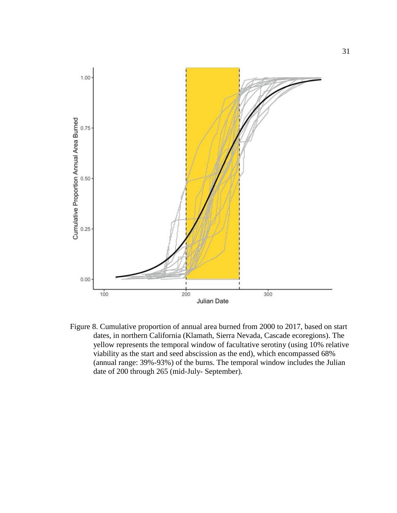

<span id="page-38-0"></span>Figure 8. Cumulative proportion of annual area burned from 2000 to 2017, based on start dates, in northern California (Klamath, Sierra Nevada, Cascade ecoregions). The yellow represents the temporal window of facultative serotiny (using 10% relative viability as the start and seed abscission as the end), which encompassed 68% (annual range: 39%-93%) of the burns. The temporal window includes the Julian date of 200 through 265 (mid-July- September).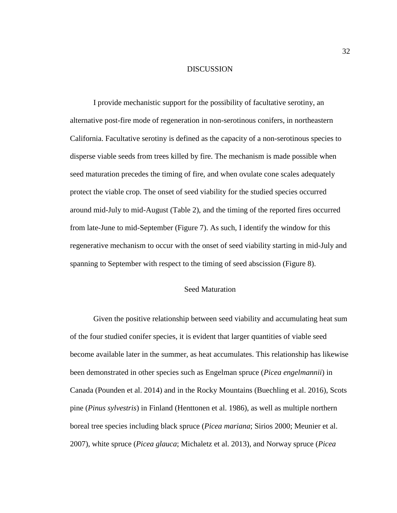## DISCUSSION

<span id="page-39-0"></span>I provide mechanistic support for the possibility of facultative serotiny, an alternative post-fire mode of regeneration in non-serotinous conifers, in northeastern California. Facultative serotiny is defined as the capacity of a non-serotinous species to disperse viable seeds from trees killed by fire. The mechanism is made possible when seed maturation precedes the timing of fire, and when ovulate cone scales adequately protect the viable crop. The onset of seed viability for the studied species occurred around mid-July to mid-August (Table 2), and the timing of the reported fires occurred from late-June to mid-September (Figure 7). As such, I identify the window for this regenerative mechanism to occur with the onset of seed viability starting in mid-July and spanning to September with respect to the timing of seed abscission (Figure 8).

## Seed Maturation

<span id="page-39-1"></span>Given the positive relationship between seed viability and accumulating heat sum of the four studied conifer species, it is evident that larger quantities of viable seed become available later in the summer, as heat accumulates. This relationship has likewise been demonstrated in other species such as Engelman spruce (*Picea engelmannii*) in Canada (Pounden et al. 2014) and in the Rocky Mountains (Buechling et al. 2016), Scots pine (*Pinus sylvestris*) in Finland (Henttonen et al. 1986), as well as multiple northern boreal tree species including black spruce (*Picea mariana*; Sirios 2000; Meunier et al. 2007), white spruce (*Picea glauca*; Michaletz et al. 2013), and Norway spruce (*Picea*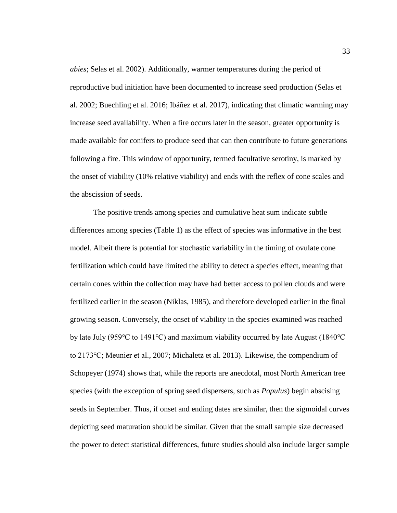*abies*; Selas et al. 2002). Additionally, warmer temperatures during the period of reproductive bud initiation have been documented to increase seed production (Selas et al. 2002; Buechling et al. 2016; Ibáñez et al. 2017), indicating that climatic warming may increase seed availability. When a fire occurs later in the season, greater opportunity is made available for conifers to produce seed that can then contribute to future generations following a fire. This window of opportunity, termed facultative serotiny, is marked by the onset of viability (10% relative viability) and ends with the reflex of cone scales and the abscission of seeds.

The positive trends among species and cumulative heat sum indicate subtle differences among species (Table 1) as the effect of species was informative in the best model. Albeit there is potential for stochastic variability in the timing of ovulate cone fertilization which could have limited the ability to detect a species effect, meaning that certain cones within the collection may have had better access to pollen clouds and were fertilized earlier in the season (Niklas, 1985), and therefore developed earlier in the final growing season. Conversely, the onset of viability in the species examined was reached by late July (959℃ to 1491℃) and maximum viability occurred by late August (1840℃ to 2173℃; Meunier et al., 2007; Michaletz et al. 2013). Likewise, the compendium of Schopeyer (1974) shows that, while the reports are anecdotal, most North American tree species (with the exception of spring seed dispersers, such as *Populus*) begin abscising seeds in September. Thus, if onset and ending dates are similar, then the sigmoidal curves depicting seed maturation should be similar. Given that the small sample size decreased the power to detect statistical differences, future studies should also include larger sample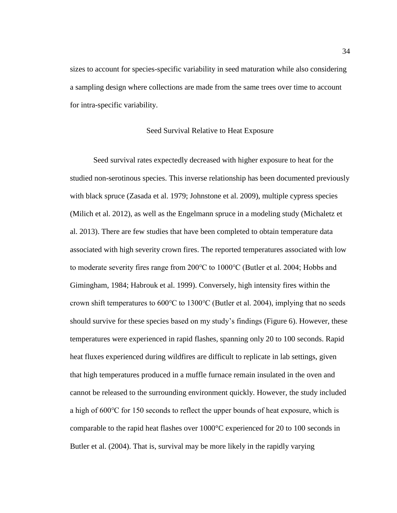sizes to account for species-specific variability in seed maturation while also considering a sampling design where collections are made from the same trees over time to account for intra-specific variability.

## Seed Survival Relative to Heat Exposure

<span id="page-41-0"></span>Seed survival rates expectedly decreased with higher exposure to heat for the studied non-serotinous species. This inverse relationship has been documented previously with black spruce (Zasada et al. 1979; Johnstone et al. 2009), multiple cypress species (Milich et al. 2012), as well as the Engelmann spruce in a modeling study (Michaletz et al. 2013). There are few studies that have been completed to obtain temperature data associated with high severity crown fires. The reported temperatures associated with low to moderate severity fires range from 200℃ to 1000℃ (Butler et al. 2004; Hobbs and Gimingham, 1984; Habrouk et al. 1999). Conversely, high intensity fires within the crown shift temperatures to 600℃ to 1300℃ (Butler et al. 2004), implying that no seeds should survive for these species based on my study's findings (Figure 6). However, these temperatures were experienced in rapid flashes, spanning only 20 to 100 seconds. Rapid heat fluxes experienced during wildfires are difficult to replicate in lab settings, given that high temperatures produced in a muffle furnace remain insulated in the oven and cannot be released to the surrounding environment quickly. However, the study included a high of 600℃ for 150 seconds to reflect the upper bounds of heat exposure, which is comparable to the rapid heat flashes over 1000°C experienced for 20 to 100 seconds in Butler et al. (2004). That is, survival may be more likely in the rapidly varying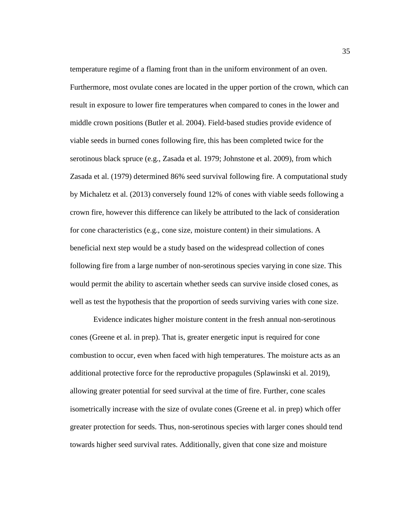temperature regime of a flaming front than in the uniform environment of an oven. Furthermore, most ovulate cones are located in the upper portion of the crown, which can result in exposure to lower fire temperatures when compared to cones in the lower and middle crown positions (Butler et al. 2004). Field-based studies provide evidence of viable seeds in burned cones following fire, this has been completed twice for the serotinous black spruce (e.g., Zasada et al. 1979; Johnstone et al. 2009), from which Zasada et al. (1979) determined 86% seed survival following fire. A computational study by Michaletz et al. (2013) conversely found 12% of cones with viable seeds following a crown fire, however this difference can likely be attributed to the lack of consideration for cone characteristics (e.g., cone size, moisture content) in their simulations. A beneficial next step would be a study based on the widespread collection of cones following fire from a large number of non-serotinous species varying in cone size. This would permit the ability to ascertain whether seeds can survive inside closed cones, as well as test the hypothesis that the proportion of seeds surviving varies with cone size.

Evidence indicates higher moisture content in the fresh annual non-serotinous cones (Greene et al. in prep). That is, greater energetic input is required for cone combustion to occur, even when faced with high temperatures. The moisture acts as an additional protective force for the reproductive propagules (Splawinski et al. 2019), allowing greater potential for seed survival at the time of fire. Further, cone scales isometrically increase with the size of ovulate cones (Greene et al. in prep) which offer greater protection for seeds. Thus, non-serotinous species with larger cones should tend towards higher seed survival rates. Additionally, given that cone size and moisture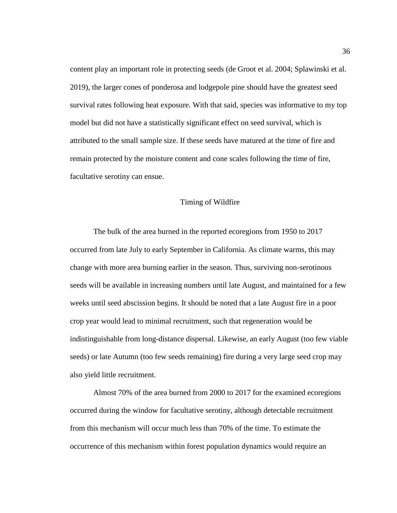content play an important role in protecting seeds (de Groot et al. 2004; Splawinski et al. 2019), the larger cones of ponderosa and lodgepole pine should have the greatest seed survival rates following heat exposure. With that said, species was informative to my top model but did not have a statistically significant effect on seed survival, which is attributed to the small sample size. If these seeds have matured at the time of fire and remain protected by the moisture content and cone scales following the time of fire, facultative serotiny can ensue.

#### Timing of Wildfire

<span id="page-43-0"></span>The bulk of the area burned in the reported ecoregions from 1950 to 2017 occurred from late July to early September in California. As climate warms, this may change with more area burning earlier in the season. Thus, surviving non-serotinous seeds will be available in increasing numbers until late August, and maintained for a few weeks until seed abscission begins. It should be noted that a late August fire in a poor crop year would lead to minimal recruitment, such that regeneration would be indistinguishable from long-distance dispersal. Likewise, an early August (too few viable seeds) or late Autumn (too few seeds remaining) fire during a very large seed crop may also yield little recruitment.

Almost 70% of the area burned from 2000 to 2017 for the examined ecoregions occurred during the window for facultative serotiny, although detectable recruitment from this mechanism will occur much less than 70% of the time. To estimate the occurrence of this mechanism within forest population dynamics would require an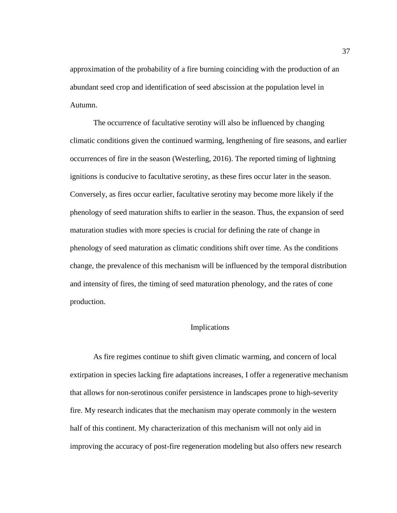approximation of the probability of a fire burning coinciding with the production of an abundant seed crop and identification of seed abscission at the population level in Autumn.

The occurrence of facultative serotiny will also be influenced by changing climatic conditions given the continued warming, lengthening of fire seasons, and earlier occurrences of fire in the season (Westerling, 2016). The reported timing of lightning ignitions is conducive to facultative serotiny, as these fires occur later in the season. Conversely, as fires occur earlier, facultative serotiny may become more likely if the phenology of seed maturation shifts to earlier in the season. Thus, the expansion of seed maturation studies with more species is crucial for defining the rate of change in phenology of seed maturation as climatic conditions shift over time. As the conditions change, the prevalence of this mechanism will be influenced by the temporal distribution and intensity of fires, the timing of seed maturation phenology, and the rates of cone production.

## Implications

<span id="page-44-0"></span>As fire regimes continue to shift given climatic warming, and concern of local extirpation in species lacking fire adaptations increases, I offer a regenerative mechanism that allows for non-serotinous conifer persistence in landscapes prone to high-severity fire. My research indicates that the mechanism may operate commonly in the western half of this continent. My characterization of this mechanism will not only aid in improving the accuracy of post-fire regeneration modeling but also offers new research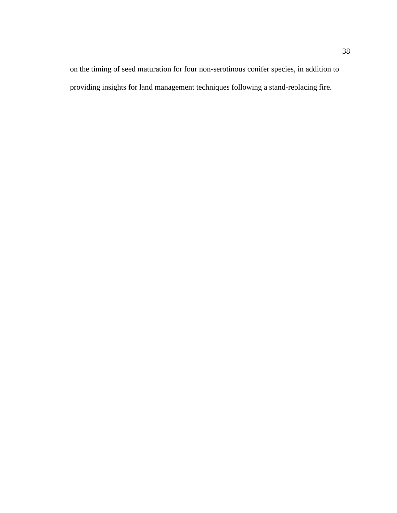on the timing of seed maturation for four non-serotinous conifer species, in addition to providing insights for land management techniques following a stand-replacing fire.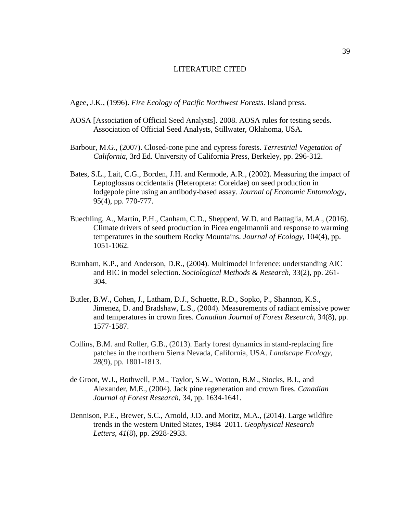## LITERATURE CITED

<span id="page-46-0"></span>Agee, J.K., (1996). *Fire Ecology of Pacific Northwest Forests*. Island press.

- AOSA [Association of Official Seed Analysts]. 2008. AOSA rules for testing seeds. Association of Official Seed Analysts, Stillwater, Oklahoma, USA.
- Barbour, M.G., (2007). Closed-cone pine and cypress forests. *Terrestrial Vegetation of California*, 3rd Ed. University of California Press, Berkeley, pp. 296-312.
- Bates, S.L., Lait, C.G., Borden, J.H. and Kermode, A.R., (2002). Measuring the impact of Leptoglossus occidentalis (Heteroptera: Coreidae) on seed production in lodgepole pine using an antibody-based assay. *Journal of Economic Entomology*, 95(4), pp. 770-777.
- Buechling, A., Martin, P.H., Canham, C.D., Shepperd, W.D. and Battaglia, M.A., (2016). Climate drivers of seed production in Picea engelmannii and response to warming temperatures in the southern Rocky Mountains. *Journal of Ecology*, 104(4), pp. 1051-1062.
- Burnham, K.P., and Anderson, D.R., (2004). Multimodel inference: understanding AIC and BIC in model selection. *Sociological Methods & Research*, 33(2), pp. 261- 304.
- Butler, B.W., Cohen, J., Latham, D.J., Schuette, R.D., Sopko, P., Shannon, K.S., Jimenez, D. and Bradshaw, L.S., (2004). Measurements of radiant emissive power and temperatures in crown fires. *Canadian Journal of Forest Research*, 34(8), pp. 1577-1587.
- Collins, B.M. and Roller, G.B., (2013). Early forest dynamics in stand-replacing fire patches in the northern Sierra Nevada, California, USA. *Landscape Ecology*, *28*(9), pp. 1801-1813.
- de Groot, W.J., Bothwell, P.M., Taylor, S.W., Wotton, B.M., Stocks, B.J., and Alexander, M.E., (2004). Jack pine regeneration and crown fires. *Canadian Journal of Forest Research,* 34, pp. 1634-1641.
- Dennison, P.E., Brewer, S.C., Arnold, J.D. and Moritz, M.A., (2014). Large wildfire trends in the western United States, 1984–2011. *Geophysical Research Letters*, *41*(8), pp. 2928-2933.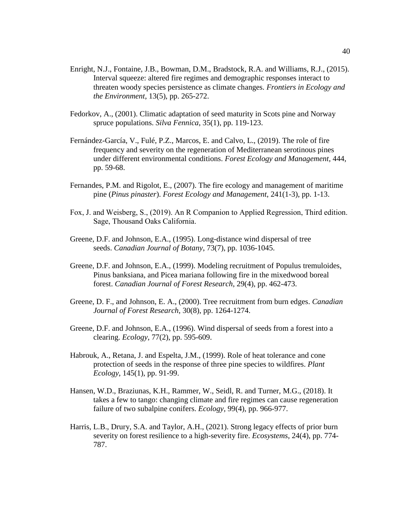- Enright, N.J., Fontaine, J.B., Bowman, D.M., Bradstock, R.A. and Williams, R.J., (2015). Interval squeeze: altered fire regimes and demographic responses interact to threaten woody species persistence as climate changes. *Frontiers in Ecology and the Environment*, 13(5), pp. 265-272.
- Fedorkov, A., (2001). Climatic adaptation of seed maturity in Scots pine and Norway spruce populations. *Silva Fennica*, 35(1), pp. 119-123.
- Fernández-García, V., Fulé, P.Z., Marcos, E. and Calvo, L., (2019). The role of fire frequency and severity on the regeneration of Mediterranean serotinous pines under different environmental conditions. *Forest Ecology and Management*, 444, pp. 59-68.
- Fernandes, P.M. and Rigolot, E., (2007). The fire ecology and management of maritime pine (*Pinus pinaster*). *Forest Ecology and Management*, 241(1-3), pp. 1-13.
- Fox, J. and Weisberg, S., (2019). An R Companion to Applied Regression, Third edition. Sage, Thousand Oaks California.
- Greene, D.F. and Johnson, E.A., (1995). Long-distance wind dispersal of tree seeds. *Canadian Journal of Botany*, 73(7), pp. 1036-1045.
- Greene, D.F. and Johnson, E.A., (1999). Modeling recruitment of Populus tremuloides, Pinus banksiana, and Picea mariana following fire in the mixedwood boreal forest. *Canadian Journal of Forest Research*, 29(4), pp. 462-473.
- Greene, D. F., and Johnson, E. A., (2000). Tree recruitment from burn edges. *Canadian Journal of Forest Research*, 30(8), pp. 1264-1274.
- Greene, D.F. and Johnson, E.A., (1996). Wind dispersal of seeds from a forest into a clearing. *Ecology*, 77(2), pp. 595-609.
- Habrouk, A., Retana, J. and Espelta, J.M., (1999). Role of heat tolerance and cone protection of seeds in the response of three pine species to wildfires. *Plant Ecology*, 145(1), pp. 91-99.
- Hansen, W.D., Braziunas, K.H., Rammer, W., Seidl, R. and Turner, M.G., (2018). It takes a few to tango: changing climate and fire regimes can cause regeneration failure of two subalpine conifers. *Ecology,* 99(4), pp. 966-977.
- Harris, L.B., Drury, S.A. and Taylor, A.H., (2021). Strong legacy effects of prior burn severity on forest resilience to a high-severity fire. *Ecosystems*, 24(4), pp. 774- 787.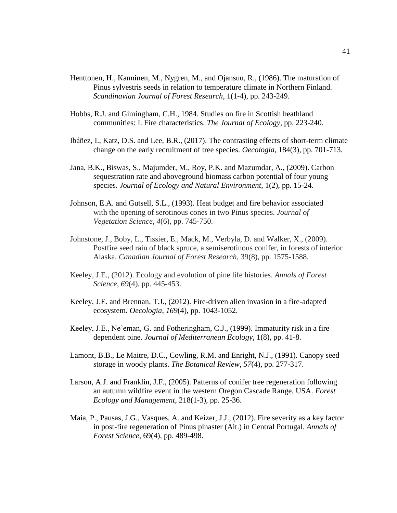- Henttonen, H., Kanninen, M., Nygren, M., and Ojansuu, R., (1986). The maturation of Pinus sylvestris seeds in relation to temperature climate in Northern Finland. *Scandinavian Journal of Forest Research*, 1(1-4), pp. 243-249.
- Hobbs, R.J. and Gimingham, C.H., 1984. Studies on fire in Scottish heathland communities: I. Fire characteristics. *The Journal of Ecology*, pp. 223-240.
- Ibáñez, I., Katz, D.S. and Lee, B.R., (2017). The contrasting effects of short-term climate change on the early recruitment of tree species. *Oecologia*, 184(3), pp. 701-713.
- Jana, B.K., Biswas, S., Majumder, M., Roy, P.K. and Mazumdar, A., (2009). Carbon sequestration rate and aboveground biomass carbon potential of four young species. *Journal of Ecology and Natural Environment*, 1(2), pp. 15-24.
- Johnson, E.A. and Gutsell, S.L., (1993). Heat budget and fire behavior associated with the opening of serotinous cones in two Pinus species. *Journal of Vegetation Science*, *4*(6), pp. 745-750.
- Johnstone, J., Boby, L., Tissier, E., Mack, M., Verbyla, D. and Walker, X., (2009). Postfire seed rain of black spruce, a semiserotinous conifer, in forests of interior Alaska. *Canadian Journal of Forest Research*, 39(8), pp. 1575-1588.
- Keeley, J.E., (2012). Ecology and evolution of pine life histories. *Annals of Forest Science*, *69*(4), pp. 445-453.
- Keeley, J.E. and Brennan, T.J., (2012). Fire-driven alien invasion in a fire-adapted ecosystem. *Oecologia*, *169*(4), pp. 1043-1052.
- Keeley, J.E., Ne'eman, G. and Fotheringham, C.J., (1999). Immaturity risk in a fire dependent pine. *Journal of Mediterranean Ecology*, 1(8), pp. 41-8.
- Lamont, B.B., Le Maitre, D.C., Cowling, R.M. and Enright, N.J., (1991). Canopy seed storage in woody plants. *The Botanical Review*, *57*(4), pp. 277-317.
- Larson, A.J. and Franklin, J.F., (2005). Patterns of conifer tree regeneration following an autumn wildfire event in the western Oregon Cascade Range, USA. *Forest Ecology and Management*, 218(1-3), pp. 25-36.
- Maia, P., Pausas, J.G., Vasques, A. and Keizer, J.J., (2012). Fire severity as a key factor in post-fire regeneration of Pinus pinaster (Ait.) in Central Portugal. *Annals of Forest Science*, 69(4), pp. 489-498.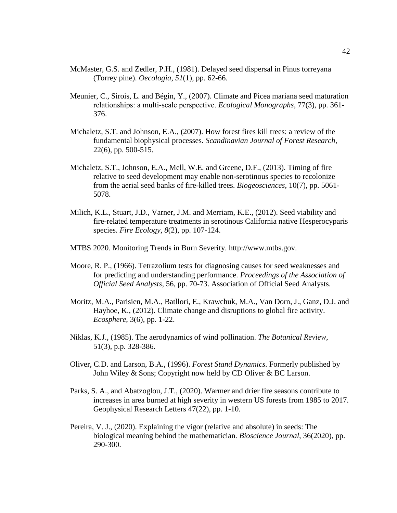- McMaster, G.S. and Zedler, P.H., (1981). Delayed seed dispersal in Pinus torreyana (Torrey pine). *Oecologia*, *51*(1), pp. 62-66.
- Meunier, C., Sirois, L. and Bégin, Y., (2007). Climate and Picea mariana seed maturation relationships: a multi‐scale perspective. *Ecological Monographs*, 77(3), pp. 361- 376.
- Michaletz, S.T. and Johnson, E.A., (2007). How forest fires kill trees: a review of the fundamental biophysical processes. *Scandinavian Journal of Forest Research*, 22(6), pp. 500-515.
- Michaletz, S.T., Johnson, E.A., Mell, W.E. and Greene, D.F., (2013). Timing of fire relative to seed development may enable non-serotinous species to recolonize from the aerial seed banks of fire-killed trees. *Biogeosciences*, 10(7), pp. 5061- 5078.
- Milich, K.L., Stuart, J.D., Varner, J.M. and Merriam, K.E., (2012). Seed viability and fire-related temperature treatments in serotinous California native Hesperocyparis species. *Fire Ecology*, *8*(2), pp. 107-124.
- MTBS 2020. Monitoring Trends in Burn Severity. http://www.mtbs.gov.
- Moore, R. P., (1966). Tetrazolium tests for diagnosing causes for seed weaknesses and for predicting and understanding performance. *Proceedings of the Association of Official Seed Analysts*, 56, pp. 70-73. Association of Official Seed Analysts.
- Moritz, M.A., Parisien, M.A., Batllori, E., Krawchuk, M.A., Van Dorn, J., Ganz, D.J. and Hayhoe, K., (2012). Climate change and disruptions to global fire activity. *Ecosphere*, 3(6), pp. 1-22.
- Niklas, K.J., (1985). The aerodynamics of wind pollination. *The Botanical Review*, 51(3), p.p. 328-386.
- Oliver, C.D. and Larson, B.A., (1996). *Forest Stand Dynamics*. Formerly published by John Wiley & Sons; Copyright now held by CD Oliver & BC Larson.
- Parks, S. A., and Abatzoglou, J.T., (2020). Warmer and drier fire seasons contribute to increases in area burned at high severity in western US forests from 1985 to 2017. Geophysical Research Letters 47(22), pp. 1-10.
- Pereira, V. J., (2020). Explaining the vigor (relative and absolute) in seeds: The biological meaning behind the mathematician. *Bioscience Journal*, 36(2020), pp. 290-300.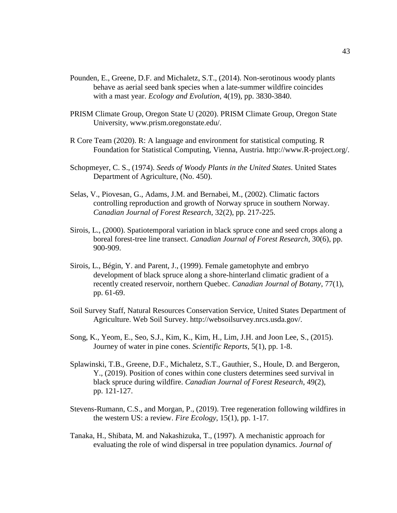- Pounden, E., Greene, D.F. and Michaletz, S.T., (2014). Non-serotinous woody plants behave as aerial seed bank species when a late-summer wildfire coincides with a mast year. *Ecology and Evolution*, 4(19), pp. 3830-3840.
- PRISM Climate Group, Oregon State U (2020). PRISM Climate Group, Oregon State University, www.prism.oregonstate.edu/.
- R Core Team (2020). R: A language and environment for statistical computing. R Foundation for Statistical Computing, Vienna, Austria. http://www.R-project.org/.
- Schopmeyer, C. S., (1974). *Seeds of Woody Plants in the United States*. United States Department of Agriculture, (No. 450).
- Selas, V., Piovesan, G., Adams, J.M. and Bernabei, M., (2002). Climatic factors controlling reproduction and growth of Norway spruce in southern Norway. *Canadian Journal of Forest Research*, 32(2), pp. 217-225.
- Sirois, L., (2000). Spatiotemporal variation in black spruce cone and seed crops along a boreal forest-tree line transect. *Canadian Journal of Forest Research*, 30(6), pp. 900-909.
- Sirois, L., Bégin, Y. and Parent, J., (1999). Female gametophyte and embryo development of black spruce along a shore-hinterland climatic gradient of a recently created reservoir, northern Quebec. *Canadian Journal of Botany*, 77(1), pp. 61-69.
- Soil Survey Staff, Natural Resources Conservation Service, United States Department of Agriculture. Web Soil Survey. http://websoilsurvey.nrcs.usda.gov/.
- Song, K., Yeom, E., Seo, S.J., Kim, K., Kim, H., Lim, J.H. and Joon Lee, S., (2015). Journey of water in pine cones. *Scientific Reports*, 5(1), pp. 1-8.
- Splawinski, T.B., Greene, D.F., Michaletz, S.T., Gauthier, S., Houle, D. and Bergeron, Y., (2019). Position of cones within cone clusters determines seed survival in black spruce during wildfire. *Canadian Journal of Forest Research*, 49(2), pp. 121-127.
- Stevens-Rumann, C.S., and Morgan, P., (2019). Tree regeneration following wildfires in the western US: a review. *Fire Ecology*, 15(1), pp. 1-17.
- Tanaka, H., Shibata, M. and Nakashizuka, T., (1997). A mechanistic approach for evaluating the role of wind dispersal in tree population dynamics. *Journal of*